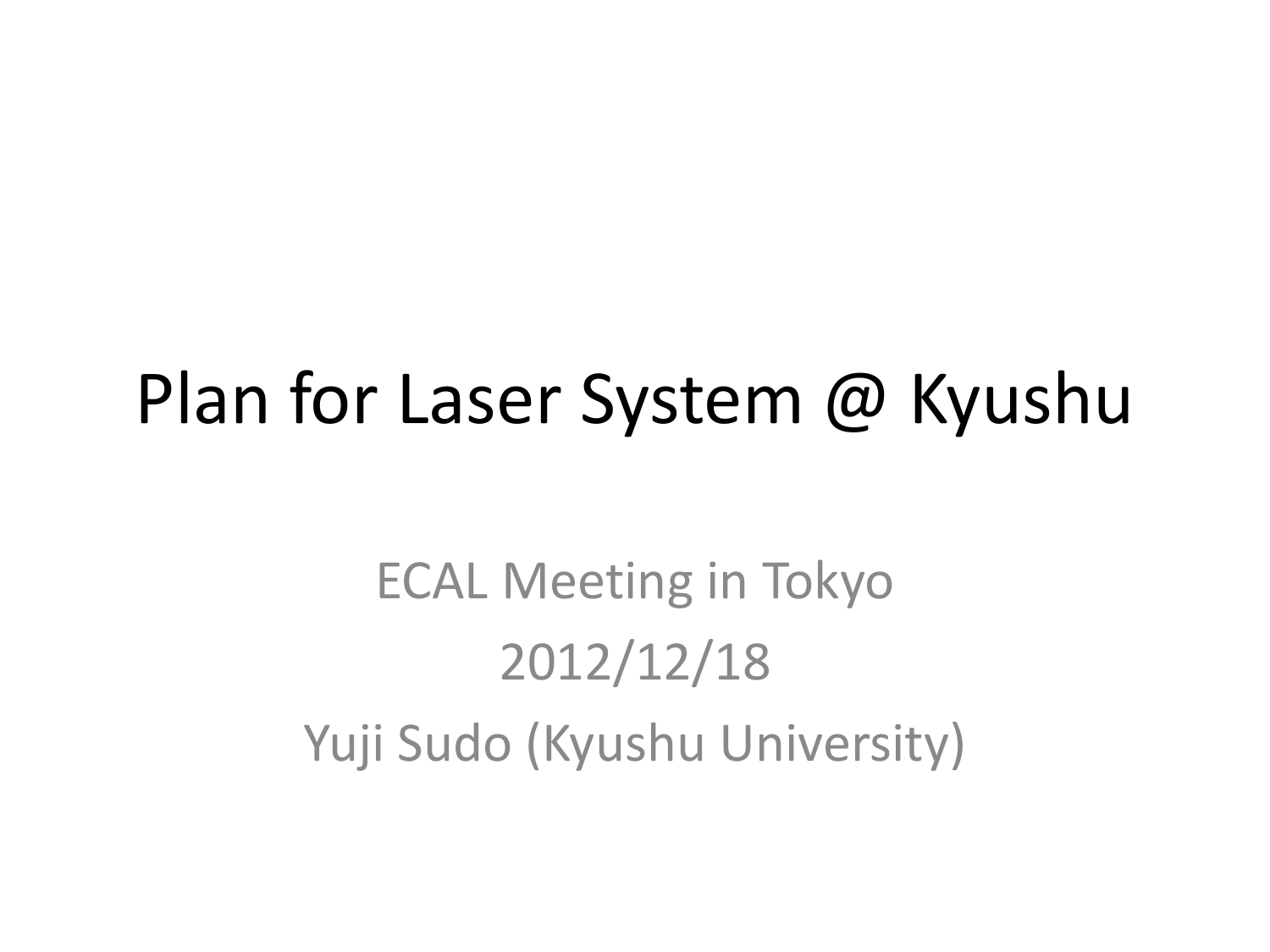## Plan for Laser System @ Kyushu

ECAL Meeting in Tokyo 2012/12/18 Yuji Sudo (Kyushu University)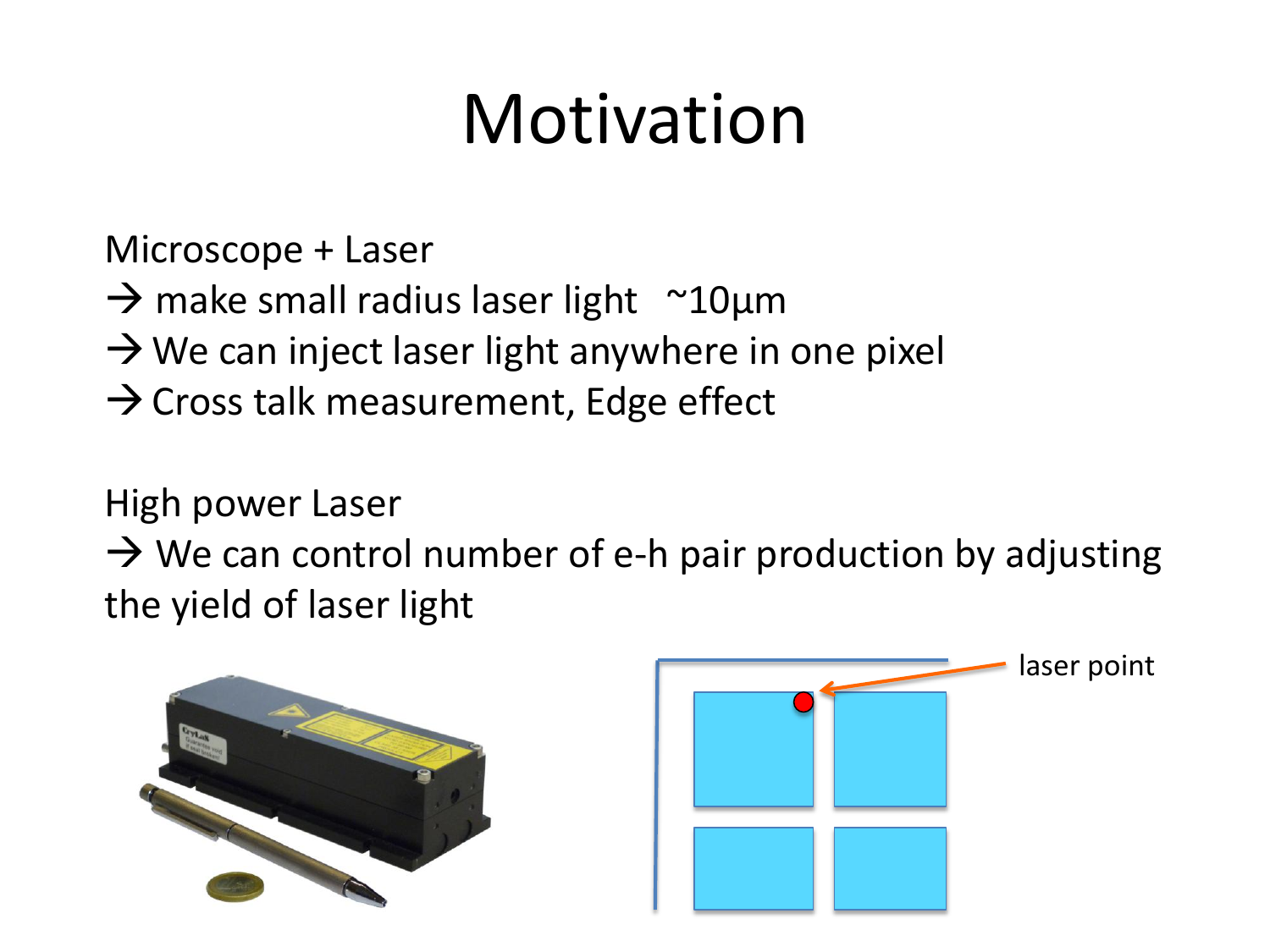# Motivation

Microscope + Laser

- $\rightarrow$  make small radius laser light  $~\sim$ 10µm
- $\rightarrow$  We can inject laser light anywhere in one pixel
- $\rightarrow$  Cross talk measurement, Edge effect

High power Laser

 $\rightarrow$  We can control number of e-h pair production by adjusting the yield of laser light



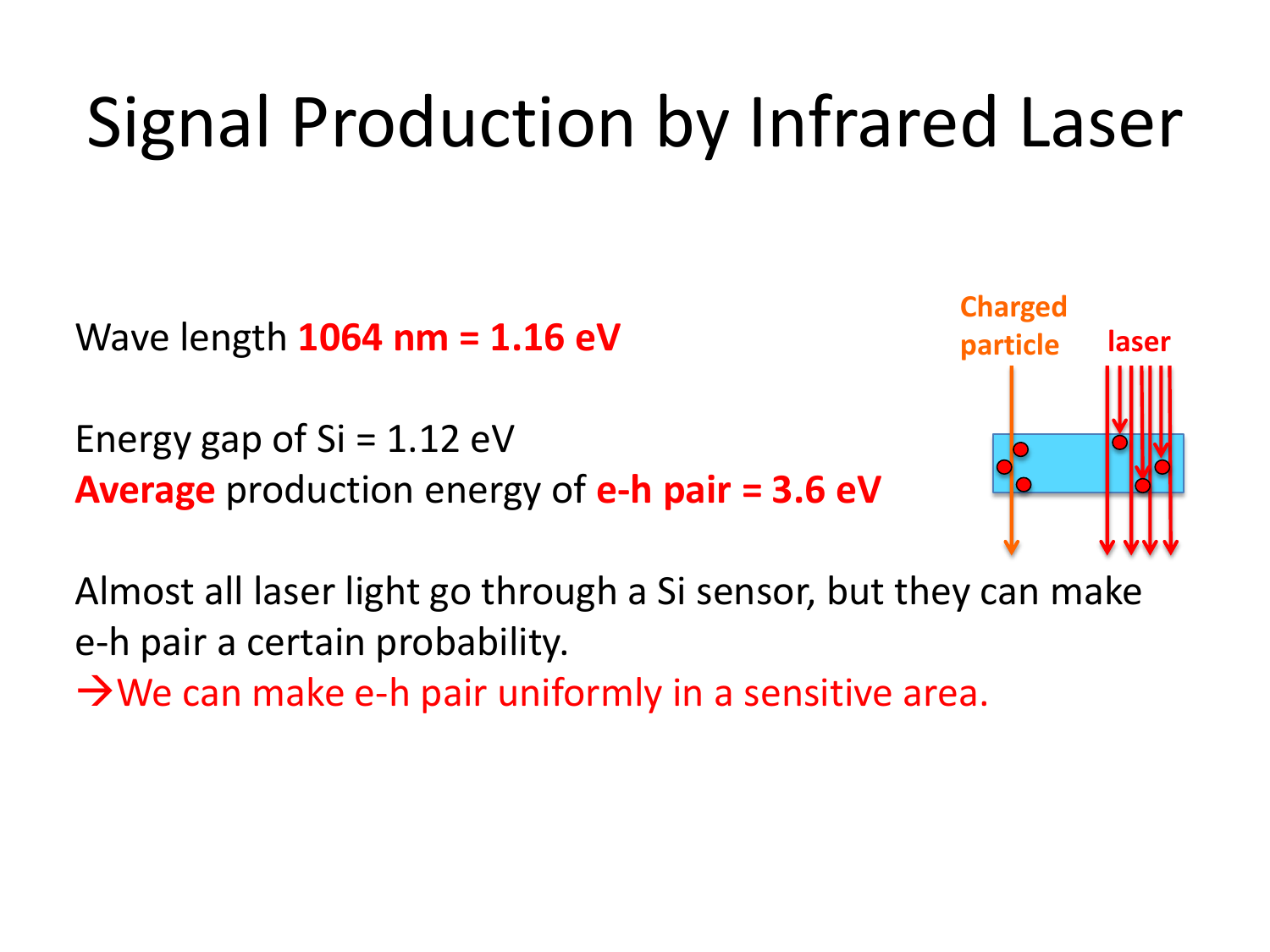# Signal Production by Infrared Laser

Wave length **1064 nm = 1.16 eV**

Energy gap of  $Si = 1.12$  eV **Average** production energy of **e-h pair = 3.6 eV**



Almost all laser light go through a Si sensor, but they can make e-h pair a certain probability.

 $\rightarrow$  We can make e-h pair uniformly in a sensitive area.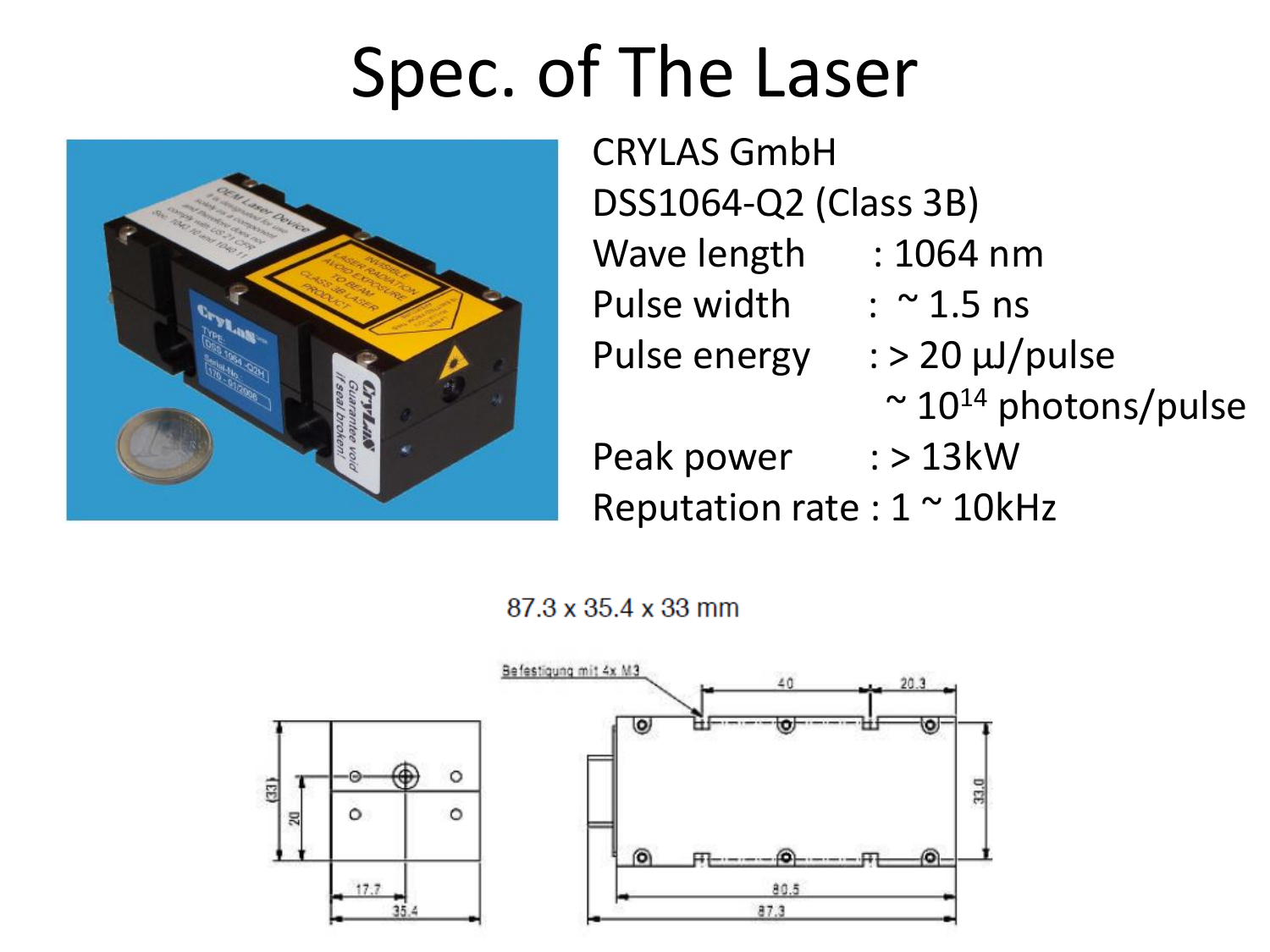# Spec. of The Laser



CRYLAS GmbH DSS1064-Q2 (Class 3B) Wave length : 1064 nm Pulse width  $\therefore$   $\sim$  1.5 ns Pulse energy : > 20 μJ/pulse  $\sim$  10<sup>14</sup> photons/pulse Peak power : > 13kW Reputation rate :  $1 \sim 10$ kHz

87.3 x 35.4 x 33 mm

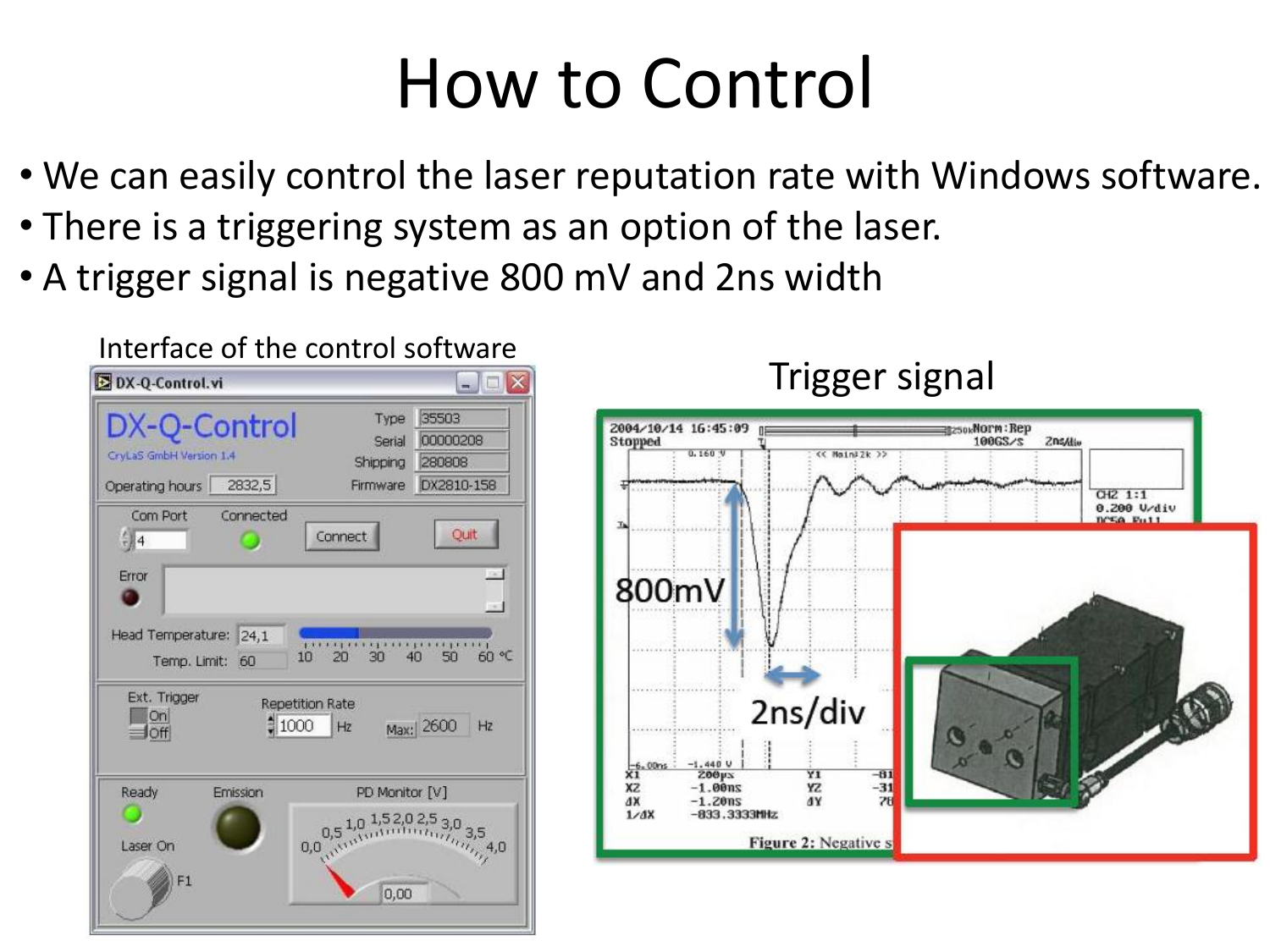## How to Control

- We can easily control the laser reputation rate with Windows software.
- There is a triggering system as an option of the laser.
- A trigger signal is negative 800 mV and 2ns width

| DX-Q-Control.vi                                                                                                                                                                                     | $ \Box$                                                                                                                                            |
|-----------------------------------------------------------------------------------------------------------------------------------------------------------------------------------------------------|----------------------------------------------------------------------------------------------------------------------------------------------------|
| DX-Q-Control<br>CryLaS GmbH Version 1.4<br>2832,5<br>Operating hours                                                                                                                                | 35503<br>Type<br>00000208<br>Serial<br>280808<br>Shipping<br>DX2810-158<br>Firmware                                                                |
| Com Port<br>Connected<br>Quit<br>Connect<br>$-44$<br>Error<br>Head Temperature: 24,1<br><b>P.A. R. A. A. A. A. A. A. A. A. A.</b> A. A. A.<br>60 ℃<br>30<br>40<br>50<br>10<br>20<br>Temp. Limit: 60 |                                                                                                                                                    |
| Ext. Trigger<br><b>Repetition Rate</b><br>On<br>$*1000$<br>Max: 2600<br>Hz<br>Hz<br>10ff                                                                                                            |                                                                                                                                                    |
| Ready<br>Emission<br>Laser On<br>F1                                                                                                                                                                 | PD Monitor [V]<br>0,5 1,0 1,52,0 2,5 3,0 3,5<br>0,0, $v_1$ , $v_2$ , $v_3$ , $v_4$ , $v_5$ , $v_6$ , $v_7$ , $v_6$ , $v_7$ , $v_8$ , $v_9$<br>0.00 |

Interface of the control software

Trigger signal

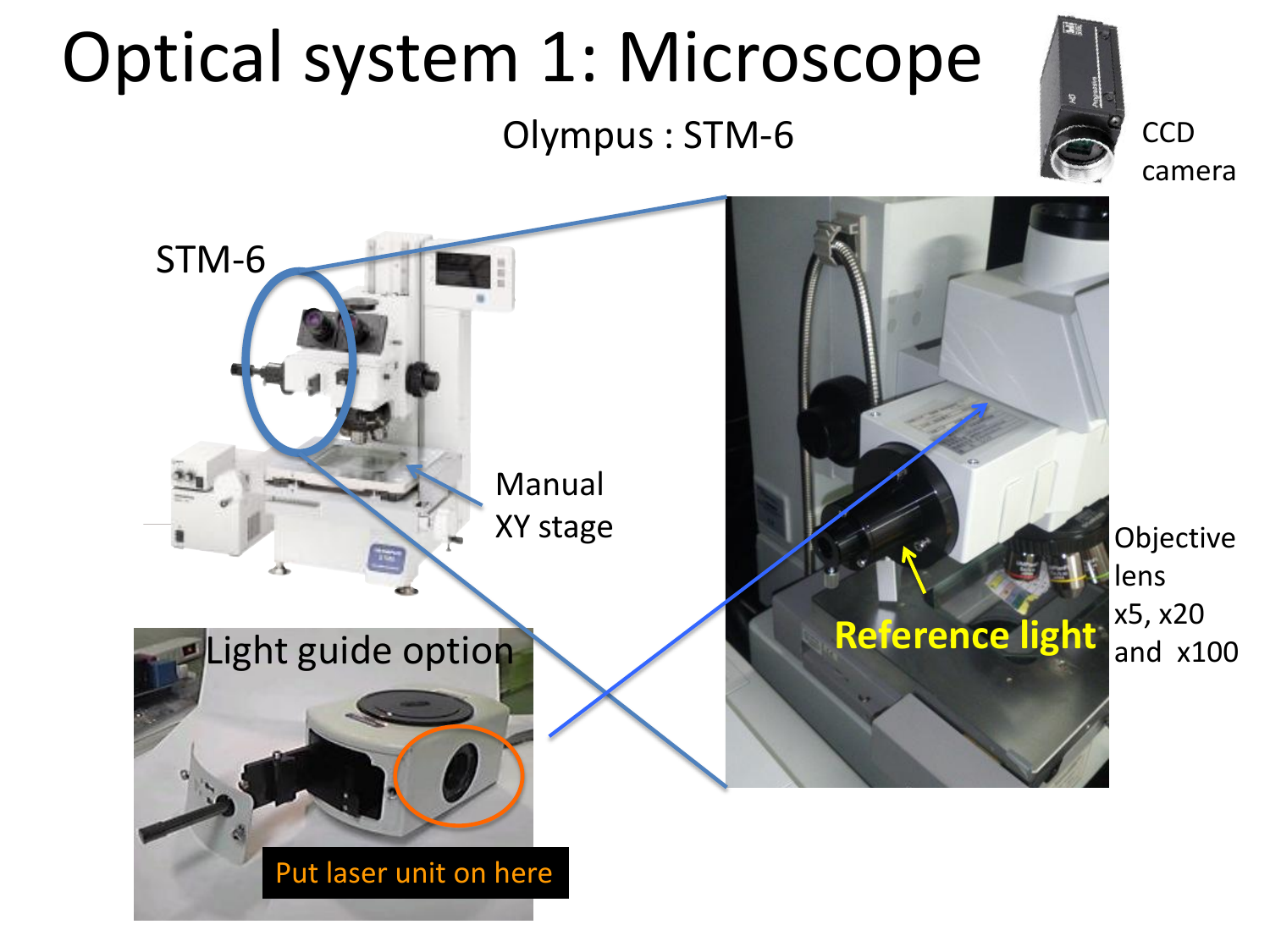#### Optical system 1: Microscope  $\sim$  ...  $UU\subset$ のコンパクト なボディに多

マニュアル3 輪( 0.5µm 読み)

Put laser unit on here

STM-6

MM6C-KMAS /明視野落射投光管

組み合わせ例

Olympus : STM-6



**CCD** 

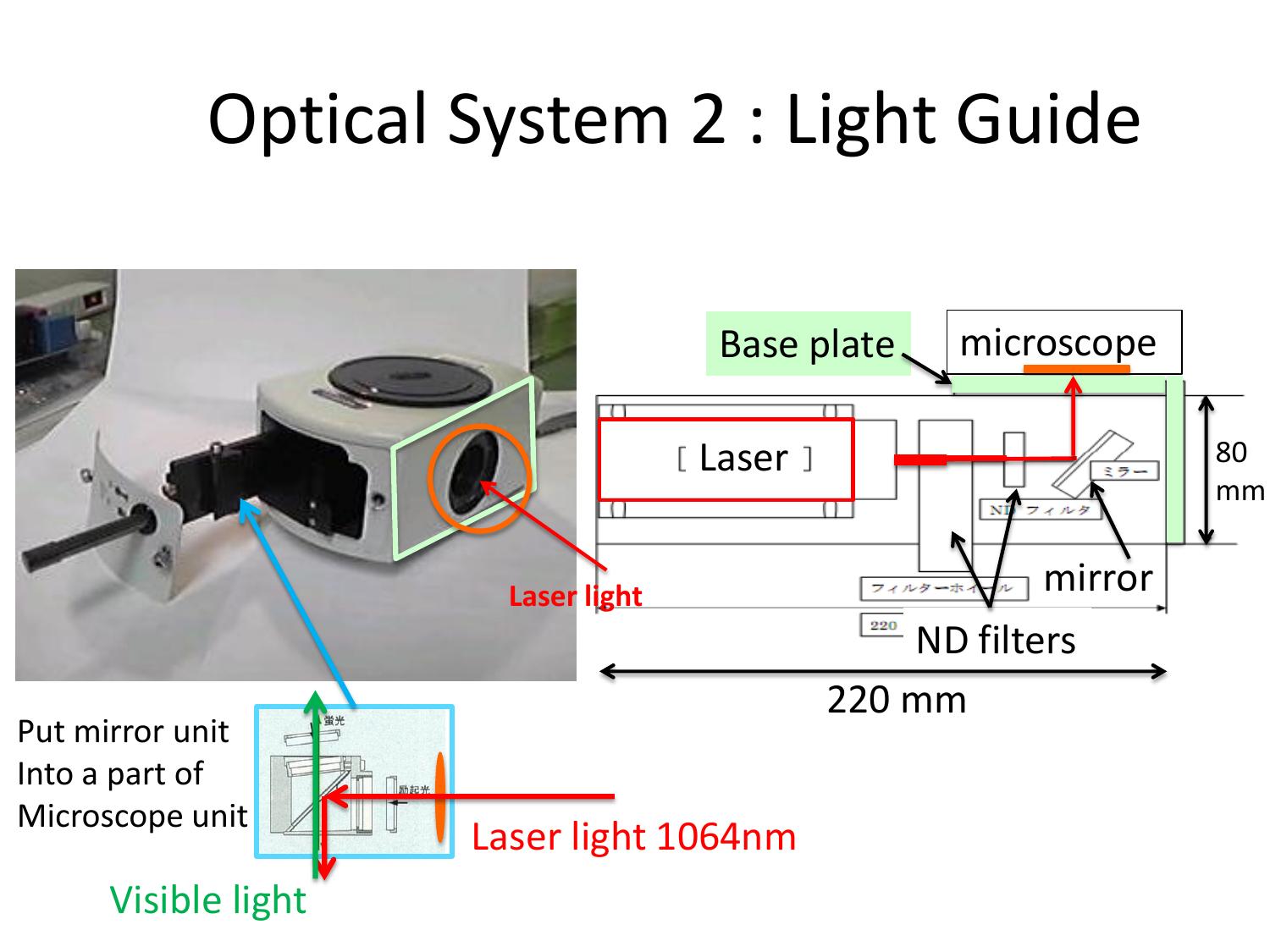# Optical System 2 : Light Guide